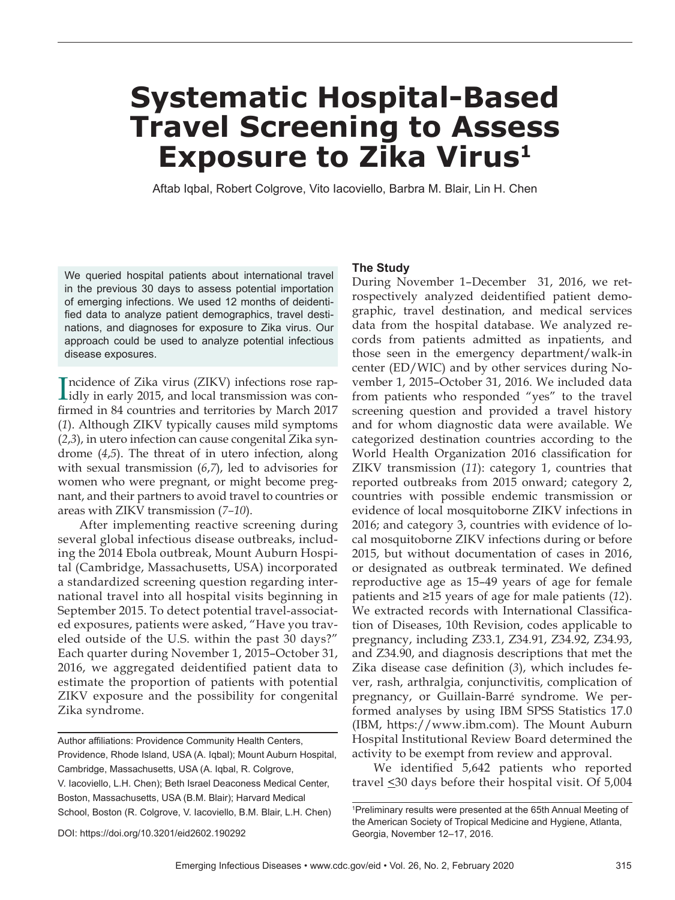### **Systematic Hospital-Based Travel Screening to Assess Exposure to Zika Virus1**

Aftab Iqbal, Robert Colgrove, Vito Iacoviello, Barbra M. Blair, Lin H. Chen

We queried hospital patients about international travel in the previous 30 days to assess potential importation of emerging infections. We used 12 months of deidentified data to analyze patient demographics, travel destinations, and diagnoses for exposure to Zika virus. Our approach could be used to analyze potential infectious disease exposures.

Incidence of Zika virus (ZIKV) infections rose rap-<br>idly in early 2015, and local transmission was conncidence of Zika virus (ZIKV) infections rose rapfirmed in 84 countries and territories by March 2017 (*1*). Although ZIKV typically causes mild symptoms (*2*,*3*), in utero infection can cause congenital Zika syndrome (*4*,*5*). The threat of in utero infection, along with sexual transmission (*6*,*7*), led to advisories for women who were pregnant, or might become pregnant, and their partners to avoid travel to countries or areas with ZIKV transmission (*7–10*).

After implementing reactive screening during several global infectious disease outbreaks, including the 2014 Ebola outbreak, Mount Auburn Hospital (Cambridge, Massachusetts, USA) incorporated a standardized screening question regarding international travel into all hospital visits beginning in September 2015. To detect potential travel-associated exposures, patients were asked, "Have you traveled outside of the U.S. within the past 30 days?" Each quarter during November 1, 2015–October 31, 2016, we aggregated deidentified patient data to estimate the proportion of patients with potential ZIKV exposure and the possibility for congenital Zika syndrome.

Author affiliations: Providence Community Health Centers, Providence, Rhode Island, USA (A. Iqbal); Mount Auburn Hospital, Cambridge, Massachusetts, USA (A. Iqbal, R. Colgrove, V. Iacoviello, L.H. Chen); Beth Israel Deaconess Medical Center, Boston, Massachusetts, USA (B.M. Blair); Harvard Medical School, Boston (R. Colgrove, V. Iacoviello, B.M. Blair, L.H. Chen)

#### **The Study**

During November 1–December 31, 2016, we retrospectively analyzed deidentified patient demographic, travel destination, and medical services data from the hospital database. We analyzed records from patients admitted as inpatients, and those seen in the emergency department/walk-in center (ED/WIC) and by other services during November 1, 2015–October 31, 2016. We included data from patients who responded "yes" to the travel screening question and provided a travel history and for whom diagnostic data were available. We categorized destination countries according to the World Health Organization 2016 classification for ZIKV transmission (*11*): category 1, countries that reported outbreaks from 2015 onward; category 2, countries with possible endemic transmission or evidence of local mosquitoborne ZIKV infections in 2016; and category 3, countries with evidence of local mosquitoborne ZIKV infections during or before 2015, but without documentation of cases in 2016, or designated as outbreak terminated. We defined reproductive age as 15–49 years of age for female patients and ≥15 years of age for male patients (*12*). We extracted records with International Classification of Diseases, 10th Revision, codes applicable to pregnancy, including Z33.1, Z34.91, Z34.92, Z34.93, and Z34.90, and diagnosis descriptions that met the Zika disease case definition (*3*), which includes fever, rash, arthralgia, conjunctivitis, complication of pregnancy, or Guillain-Barré syndrome. We performed analyses by using IBM SPSS Statistics 17.0 (IBM, https://www.ibm.com). The Mount Auburn Hospital Institutional Review Board determined the activity to be exempt from review and approval.

We identified 5,642 patients who reported travel <30 days before their hospital visit. Of 5,004

<sup>1</sup> Preliminary results were presented at the 65th Annual Meeting of the American Society of Tropical Medicine and Hygiene, Atlanta, Georgia, November 12–17, 2016.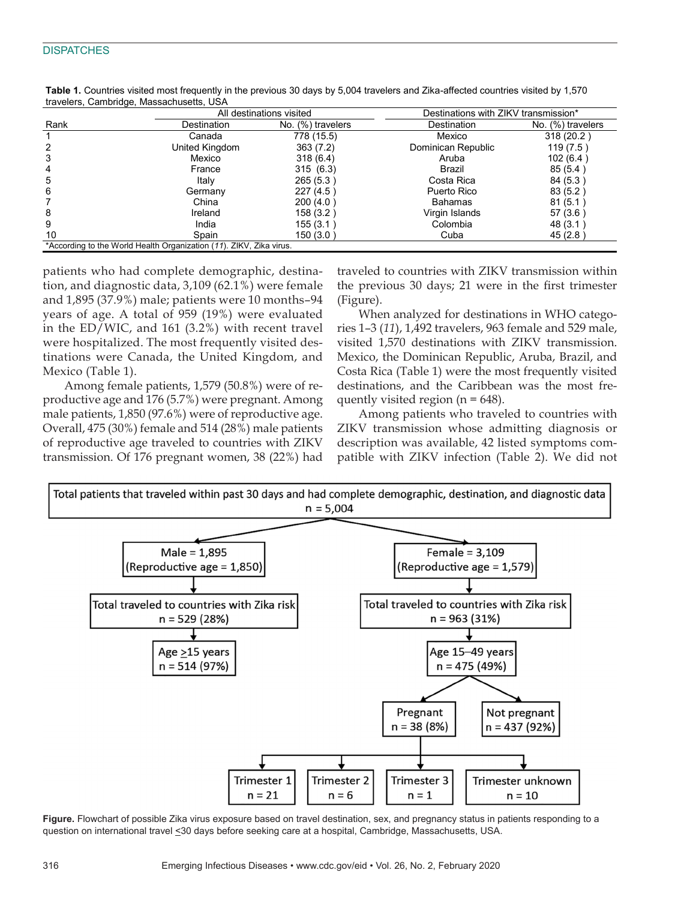|      | All destinations visited                                            |                   | Destinations with ZIKV transmission* |                   |
|------|---------------------------------------------------------------------|-------------------|--------------------------------------|-------------------|
| Rank | Destination                                                         | No. (%) travelers | Destination                          | No. (%) travelers |
|      | Canada                                                              | 778 (15.5)        | Mexico                               | 318 (20.2)        |
| 2    | United Kingdom                                                      | 363(7.2)          | Dominican Republic                   | 119(7.5)          |
| 3    | Mexico                                                              | 318(6.4)          | Aruba                                | 102(6.4)          |
| 4    | France                                                              | 315(6.3)          | Brazil                               | 85(5.4)           |
| 5    | Italv                                                               | 265 (5.3)         | Costa Rica                           | 84 (5.3)          |
| 6    | Germany                                                             | 227(4.5)          | Puerto Rico                          | 83 (5.2)          |
|      | China                                                               | 200(4.0)          | <b>Bahamas</b>                       | 81(5.1)           |
| 8    | Ireland                                                             | 158(3.2)          | Virgin Islands                       | 57(3.6)           |
| 9    | India                                                               | 155 (3.1 )        | Colombia                             | 48 (3.1)          |
| 10   | Spain                                                               | 150 (3.0 )        | Cuba                                 | 45(2.8)           |
|      | *According to the World Health Organization (11). ZIKV, Zika virus. |                   |                                      |                   |

**Table 1.** Countries visited most frequently in the previous 30 days by 5,004 travelers and Zika-affected countries visited by 1,570 travelers, Cambridge, Massachusetts, USA

patients who had complete demographic, destination, and diagnostic data, 3,109 (62.1%) were female and 1,895 (37.9%) male; patients were 10 months–94 years of age. A total of 959 (19%) were evaluated in the ED/WIC, and 161 (3.2%) with recent travel were hospitalized. The most frequently visited destinations were Canada, the United Kingdom, and Mexico (Table 1).

Among female patients, 1,579 (50.8%) were of reproductive age and 176 (5.7%) were pregnant. Among male patients, 1,850 (97.6%) were of reproductive age. Overall, 475 (30%) female and 514 (28%) male patients of reproductive age traveled to countries with ZIKV transmission. Of 176 pregnant women, 38 (22%) had

traveled to countries with ZIKV transmission within the previous 30 days; 21 were in the first trimester (Figure).

When analyzed for destinations in WHO categories 1–3 (*11*), 1,492 travelers, 963 female and 529 male, visited 1,570 destinations with ZIKV transmission. Mexico, the Dominican Republic, Aruba, Brazil, and Costa Rica (Table 1) were the most frequently visited destinations, and the Caribbean was the most frequently visited region ( $n = 648$ ).

Among patients who traveled to countries with ZIKV transmission whose admitting diagnosis or description was available, 42 listed symptoms compatible with ZIKV infection (Table 2). We did not



**Figure.** Flowchart of possible Zika virus exposure based on travel destination, sex, and pregnancy status in patients responding to a question on international travel <30 days before seeking care at a hospital, Cambridge, Massachusetts, USA.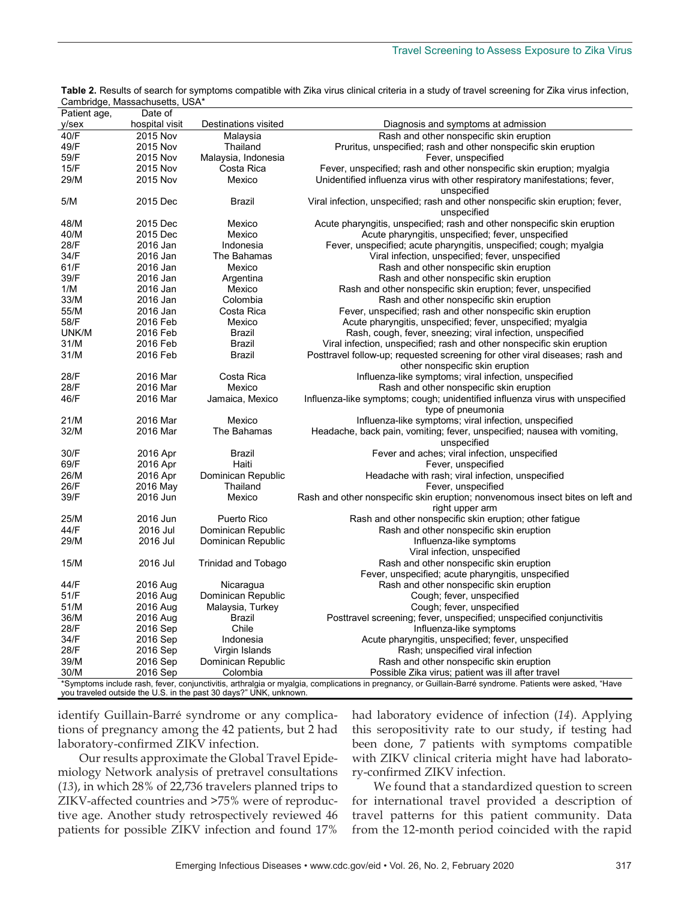| Patient age,<br>Date of<br>hospital visit<br>$y$ /sex<br>Destinations visited<br>Diagnosis and symptoms at admission<br>40/F<br>2015 Nov<br>Rash and other nonspecific skin eruption<br>Malaysia<br>49/F<br>2015 Nov<br>Thailand<br>Pruritus, unspecified; rash and other nonspecific skin eruption<br>59/F<br>2015 Nov<br>Malaysia, Indonesia<br>Fever, unspecified<br>15/F<br>2015 Nov<br>Costa Rica<br>Fever, unspecified; rash and other nonspecific skin eruption; myalgia<br>29/M<br>2015 Nov<br>Unidentified influenza virus with other respiratory manifestations; fever,<br>Mexico<br>unspecified<br>Viral infection, unspecified; rash and other nonspecific skin eruption; fever,<br>5/M<br>2015 Dec<br>Brazil<br>unspecified<br>48/M<br>Acute pharyngitis, unspecified; rash and other nonspecific skin eruption<br>2015 Dec<br>Mexico<br>2015 Dec<br>Acute pharyngitis, unspecified; fever, unspecified<br>40/M<br>Mexico<br>Fever, unspecified; acute pharyngitis, unspecified; cough; myalgia<br>28/F<br>2016 Jan<br>Indonesia<br>34/F<br>Viral infection, unspecified; fever, unspecified<br>2016 Jan<br>The Bahamas<br>Rash and other nonspecific skin eruption<br>61/F<br>2016 Jan<br>Mexico<br>39/F<br>2016 Jan<br>Argentina<br>Rash and other nonspecific skin eruption<br>Rash and other nonspecific skin eruption; fever, unspecified<br>1/M<br>2016 Jan<br>Mexico<br>33/M<br>Colombia<br>Rash and other nonspecific skin eruption<br>2016 Jan |
|----------------------------------------------------------------------------------------------------------------------------------------------------------------------------------------------------------------------------------------------------------------------------------------------------------------------------------------------------------------------------------------------------------------------------------------------------------------------------------------------------------------------------------------------------------------------------------------------------------------------------------------------------------------------------------------------------------------------------------------------------------------------------------------------------------------------------------------------------------------------------------------------------------------------------------------------------------------------------------------------------------------------------------------------------------------------------------------------------------------------------------------------------------------------------------------------------------------------------------------------------------------------------------------------------------------------------------------------------------------------------------------------------------------------------------------------------------------------|
|                                                                                                                                                                                                                                                                                                                                                                                                                                                                                                                                                                                                                                                                                                                                                                                                                                                                                                                                                                                                                                                                                                                                                                                                                                                                                                                                                                                                                                                                      |
|                                                                                                                                                                                                                                                                                                                                                                                                                                                                                                                                                                                                                                                                                                                                                                                                                                                                                                                                                                                                                                                                                                                                                                                                                                                                                                                                                                                                                                                                      |
|                                                                                                                                                                                                                                                                                                                                                                                                                                                                                                                                                                                                                                                                                                                                                                                                                                                                                                                                                                                                                                                                                                                                                                                                                                                                                                                                                                                                                                                                      |
|                                                                                                                                                                                                                                                                                                                                                                                                                                                                                                                                                                                                                                                                                                                                                                                                                                                                                                                                                                                                                                                                                                                                                                                                                                                                                                                                                                                                                                                                      |
|                                                                                                                                                                                                                                                                                                                                                                                                                                                                                                                                                                                                                                                                                                                                                                                                                                                                                                                                                                                                                                                                                                                                                                                                                                                                                                                                                                                                                                                                      |
|                                                                                                                                                                                                                                                                                                                                                                                                                                                                                                                                                                                                                                                                                                                                                                                                                                                                                                                                                                                                                                                                                                                                                                                                                                                                                                                                                                                                                                                                      |
|                                                                                                                                                                                                                                                                                                                                                                                                                                                                                                                                                                                                                                                                                                                                                                                                                                                                                                                                                                                                                                                                                                                                                                                                                                                                                                                                                                                                                                                                      |
|                                                                                                                                                                                                                                                                                                                                                                                                                                                                                                                                                                                                                                                                                                                                                                                                                                                                                                                                                                                                                                                                                                                                                                                                                                                                                                                                                                                                                                                                      |
|                                                                                                                                                                                                                                                                                                                                                                                                                                                                                                                                                                                                                                                                                                                                                                                                                                                                                                                                                                                                                                                                                                                                                                                                                                                                                                                                                                                                                                                                      |
|                                                                                                                                                                                                                                                                                                                                                                                                                                                                                                                                                                                                                                                                                                                                                                                                                                                                                                                                                                                                                                                                                                                                                                                                                                                                                                                                                                                                                                                                      |
|                                                                                                                                                                                                                                                                                                                                                                                                                                                                                                                                                                                                                                                                                                                                                                                                                                                                                                                                                                                                                                                                                                                                                                                                                                                                                                                                                                                                                                                                      |
|                                                                                                                                                                                                                                                                                                                                                                                                                                                                                                                                                                                                                                                                                                                                                                                                                                                                                                                                                                                                                                                                                                                                                                                                                                                                                                                                                                                                                                                                      |
|                                                                                                                                                                                                                                                                                                                                                                                                                                                                                                                                                                                                                                                                                                                                                                                                                                                                                                                                                                                                                                                                                                                                                                                                                                                                                                                                                                                                                                                                      |
|                                                                                                                                                                                                                                                                                                                                                                                                                                                                                                                                                                                                                                                                                                                                                                                                                                                                                                                                                                                                                                                                                                                                                                                                                                                                                                                                                                                                                                                                      |
|                                                                                                                                                                                                                                                                                                                                                                                                                                                                                                                                                                                                                                                                                                                                                                                                                                                                                                                                                                                                                                                                                                                                                                                                                                                                                                                                                                                                                                                                      |
|                                                                                                                                                                                                                                                                                                                                                                                                                                                                                                                                                                                                                                                                                                                                                                                                                                                                                                                                                                                                                                                                                                                                                                                                                                                                                                                                                                                                                                                                      |
|                                                                                                                                                                                                                                                                                                                                                                                                                                                                                                                                                                                                                                                                                                                                                                                                                                                                                                                                                                                                                                                                                                                                                                                                                                                                                                                                                                                                                                                                      |
|                                                                                                                                                                                                                                                                                                                                                                                                                                                                                                                                                                                                                                                                                                                                                                                                                                                                                                                                                                                                                                                                                                                                                                                                                                                                                                                                                                                                                                                                      |
| Costa Rica<br>55/M<br>2016 Jan<br>Fever, unspecified; rash and other nonspecific skin eruption                                                                                                                                                                                                                                                                                                                                                                                                                                                                                                                                                                                                                                                                                                                                                                                                                                                                                                                                                                                                                                                                                                                                                                                                                                                                                                                                                                       |
| 58/F<br>2016 Feb<br>Acute pharyngitis, unspecified; fever, unspecified; myalgia<br>Mexico                                                                                                                                                                                                                                                                                                                                                                                                                                                                                                                                                                                                                                                                                                                                                                                                                                                                                                                                                                                                                                                                                                                                                                                                                                                                                                                                                                            |
| UNK/M<br>2016 Feb<br>Brazil<br>Rash, cough, fever, sneezing; viral infection, unspecified                                                                                                                                                                                                                                                                                                                                                                                                                                                                                                                                                                                                                                                                                                                                                                                                                                                                                                                                                                                                                                                                                                                                                                                                                                                                                                                                                                            |
| 31/M<br>2016 Feb<br>Brazil<br>Viral infection, unspecified; rash and other nonspecific skin eruption                                                                                                                                                                                                                                                                                                                                                                                                                                                                                                                                                                                                                                                                                                                                                                                                                                                                                                                                                                                                                                                                                                                                                                                                                                                                                                                                                                 |
| 31/M<br>2016 Feb<br>Posttravel follow-up; requested screening for other viral diseases; rash and<br>Brazil                                                                                                                                                                                                                                                                                                                                                                                                                                                                                                                                                                                                                                                                                                                                                                                                                                                                                                                                                                                                                                                                                                                                                                                                                                                                                                                                                           |
| other nonspecific skin eruption                                                                                                                                                                                                                                                                                                                                                                                                                                                                                                                                                                                                                                                                                                                                                                                                                                                                                                                                                                                                                                                                                                                                                                                                                                                                                                                                                                                                                                      |
| 28/F<br>2016 Mar<br>Costa Rica<br>Influenza-like symptoms; viral infection, unspecified                                                                                                                                                                                                                                                                                                                                                                                                                                                                                                                                                                                                                                                                                                                                                                                                                                                                                                                                                                                                                                                                                                                                                                                                                                                                                                                                                                              |
| Rash and other nonspecific skin eruption<br>28/F<br>2016 Mar<br>Mexico                                                                                                                                                                                                                                                                                                                                                                                                                                                                                                                                                                                                                                                                                                                                                                                                                                                                                                                                                                                                                                                                                                                                                                                                                                                                                                                                                                                               |
| 46/F<br>2016 Mar<br>Jamaica, Mexico<br>Influenza-like symptoms; cough; unidentified influenza virus with unspecified                                                                                                                                                                                                                                                                                                                                                                                                                                                                                                                                                                                                                                                                                                                                                                                                                                                                                                                                                                                                                                                                                                                                                                                                                                                                                                                                                 |
| type of pneumonia                                                                                                                                                                                                                                                                                                                                                                                                                                                                                                                                                                                                                                                                                                                                                                                                                                                                                                                                                                                                                                                                                                                                                                                                                                                                                                                                                                                                                                                    |
| Influenza-like symptoms; viral infection, unspecified<br>21/M<br>2016 Mar<br>Mexico                                                                                                                                                                                                                                                                                                                                                                                                                                                                                                                                                                                                                                                                                                                                                                                                                                                                                                                                                                                                                                                                                                                                                                                                                                                                                                                                                                                  |
| Headache, back pain, vomiting; fever, unspecified; nausea with vomiting,<br>32/M<br>2016 Mar<br>The Bahamas                                                                                                                                                                                                                                                                                                                                                                                                                                                                                                                                                                                                                                                                                                                                                                                                                                                                                                                                                                                                                                                                                                                                                                                                                                                                                                                                                          |
| unspecified                                                                                                                                                                                                                                                                                                                                                                                                                                                                                                                                                                                                                                                                                                                                                                                                                                                                                                                                                                                                                                                                                                                                                                                                                                                                                                                                                                                                                                                          |
| Fever and aches; viral infection, unspecified<br>30/F<br>2016 Apr<br>Brazil                                                                                                                                                                                                                                                                                                                                                                                                                                                                                                                                                                                                                                                                                                                                                                                                                                                                                                                                                                                                                                                                                                                                                                                                                                                                                                                                                                                          |
| 69/F<br>2016 Apr<br>Haiti<br>Fever, unspecified                                                                                                                                                                                                                                                                                                                                                                                                                                                                                                                                                                                                                                                                                                                                                                                                                                                                                                                                                                                                                                                                                                                                                                                                                                                                                                                                                                                                                      |
| 2016 Apr<br>26/M<br>Dominican Republic<br>Headache with rash; viral infection, unspecified                                                                                                                                                                                                                                                                                                                                                                                                                                                                                                                                                                                                                                                                                                                                                                                                                                                                                                                                                                                                                                                                                                                                                                                                                                                                                                                                                                           |
| 26/F<br>2016 May<br>Thailand<br>Fever, unspecified                                                                                                                                                                                                                                                                                                                                                                                                                                                                                                                                                                                                                                                                                                                                                                                                                                                                                                                                                                                                                                                                                                                                                                                                                                                                                                                                                                                                                   |
| 39/F<br>2016 Jun<br>Mexico<br>Rash and other nonspecific skin eruption; nonvenomous insect bites on left and                                                                                                                                                                                                                                                                                                                                                                                                                                                                                                                                                                                                                                                                                                                                                                                                                                                                                                                                                                                                                                                                                                                                                                                                                                                                                                                                                         |
| right upper arm                                                                                                                                                                                                                                                                                                                                                                                                                                                                                                                                                                                                                                                                                                                                                                                                                                                                                                                                                                                                                                                                                                                                                                                                                                                                                                                                                                                                                                                      |
| 25/M<br>2016 Jun<br>Puerto Rico<br>Rash and other nonspecific skin eruption; other fatigue                                                                                                                                                                                                                                                                                                                                                                                                                                                                                                                                                                                                                                                                                                                                                                                                                                                                                                                                                                                                                                                                                                                                                                                                                                                                                                                                                                           |
| 44/F<br>2016 Jul<br>Dominican Republic<br>Rash and other nonspecific skin eruption                                                                                                                                                                                                                                                                                                                                                                                                                                                                                                                                                                                                                                                                                                                                                                                                                                                                                                                                                                                                                                                                                                                                                                                                                                                                                                                                                                                   |
| 29/M<br>2016 Jul<br>Dominican Republic<br>Influenza-like symptoms                                                                                                                                                                                                                                                                                                                                                                                                                                                                                                                                                                                                                                                                                                                                                                                                                                                                                                                                                                                                                                                                                                                                                                                                                                                                                                                                                                                                    |
| Viral infection, unspecified                                                                                                                                                                                                                                                                                                                                                                                                                                                                                                                                                                                                                                                                                                                                                                                                                                                                                                                                                                                                                                                                                                                                                                                                                                                                                                                                                                                                                                         |
| Rash and other nonspecific skin eruption<br>15/M<br>2016 Jul<br>Trinidad and Tobago                                                                                                                                                                                                                                                                                                                                                                                                                                                                                                                                                                                                                                                                                                                                                                                                                                                                                                                                                                                                                                                                                                                                                                                                                                                                                                                                                                                  |
| Fever, unspecified; acute pharyngitis, unspecified                                                                                                                                                                                                                                                                                                                                                                                                                                                                                                                                                                                                                                                                                                                                                                                                                                                                                                                                                                                                                                                                                                                                                                                                                                                                                                                                                                                                                   |
| Rash and other nonspecific skin eruption<br>44/F<br>2016 Aug<br>Nicaragua                                                                                                                                                                                                                                                                                                                                                                                                                                                                                                                                                                                                                                                                                                                                                                                                                                                                                                                                                                                                                                                                                                                                                                                                                                                                                                                                                                                            |
| Cough; fever, unspecified<br>51/F<br>2016 Aug<br>Dominican Republic                                                                                                                                                                                                                                                                                                                                                                                                                                                                                                                                                                                                                                                                                                                                                                                                                                                                                                                                                                                                                                                                                                                                                                                                                                                                                                                                                                                                  |
| 51/M<br>2016 Aug<br>Malaysia, Turkey<br>Cough; fever, unspecified                                                                                                                                                                                                                                                                                                                                                                                                                                                                                                                                                                                                                                                                                                                                                                                                                                                                                                                                                                                                                                                                                                                                                                                                                                                                                                                                                                                                    |
| 36/M<br>2016 Aug<br>Brazil<br>Posttravel screening; fever, unspecified; unspecified conjunctivitis                                                                                                                                                                                                                                                                                                                                                                                                                                                                                                                                                                                                                                                                                                                                                                                                                                                                                                                                                                                                                                                                                                                                                                                                                                                                                                                                                                   |
| 28/F<br>2016 Sep<br>Chile<br>Influenza-like symptoms                                                                                                                                                                                                                                                                                                                                                                                                                                                                                                                                                                                                                                                                                                                                                                                                                                                                                                                                                                                                                                                                                                                                                                                                                                                                                                                                                                                                                 |
| 34/F<br>Acute pharyngitis, unspecified; fever, unspecified<br>2016 Sep<br>Indonesia                                                                                                                                                                                                                                                                                                                                                                                                                                                                                                                                                                                                                                                                                                                                                                                                                                                                                                                                                                                                                                                                                                                                                                                                                                                                                                                                                                                  |
| 28/F<br>2016 Sep<br>Virgin Islands<br>Rash; unspecified viral infection                                                                                                                                                                                                                                                                                                                                                                                                                                                                                                                                                                                                                                                                                                                                                                                                                                                                                                                                                                                                                                                                                                                                                                                                                                                                                                                                                                                              |
| 39/M                                                                                                                                                                                                                                                                                                                                                                                                                                                                                                                                                                                                                                                                                                                                                                                                                                                                                                                                                                                                                                                                                                                                                                                                                                                                                                                                                                                                                                                                 |
| 2016 Sep<br>Dominican Republic<br>Rash and other nonspecific skin eruption                                                                                                                                                                                                                                                                                                                                                                                                                                                                                                                                                                                                                                                                                                                                                                                                                                                                                                                                                                                                                                                                                                                                                                                                                                                                                                                                                                                           |
| 30/M<br>2016 Sep<br>Colombia<br>Possible Zika virus; patient was ill after travel<br>*Symptoms include rash, fever, conjunctivitis, arthralgia or myalgia, complications in pregnancy, or Guillain-Barré syndrome. Patients were asked, "Have                                                                                                                                                                                                                                                                                                                                                                                                                                                                                                                                                                                                                                                                                                                                                                                                                                                                                                                                                                                                                                                                                                                                                                                                                        |
| you traveled outside the U.S. in the past 30 days?" UNK, unknown.                                                                                                                                                                                                                                                                                                                                                                                                                                                                                                                                                                                                                                                                                                                                                                                                                                                                                                                                                                                                                                                                                                                                                                                                                                                                                                                                                                                                    |

**Table 2.** Results of search for symptoms compatible with Zika virus clinical criteria in a study of travel screening for Zika virus infection, Cambridge, Massachusetts, USA\*

identify Guillain-Barré syndrome or any complications of pregnancy among the 42 patients, but 2 had laboratory-confirmed ZIKV infection.

Our results approximate the Global Travel Epidemiology Network analysis of pretravel consultations (*13*), in which 28% of 22,736 travelers planned trips to ZIKV-affected countries and >75% were of reproductive age. Another study retrospectively reviewed 46 patients for possible ZIKV infection and found 17%

had laboratory evidence of infection (*14*). Applying this seropositivity rate to our study, if testing had been done, 7 patients with symptoms compatible with ZIKV clinical criteria might have had laboratory-confirmed ZIKV infection.

We found that a standardized question to screen for international travel provided a description of travel patterns for this patient community. Data from the 12-month period coincided with the rapid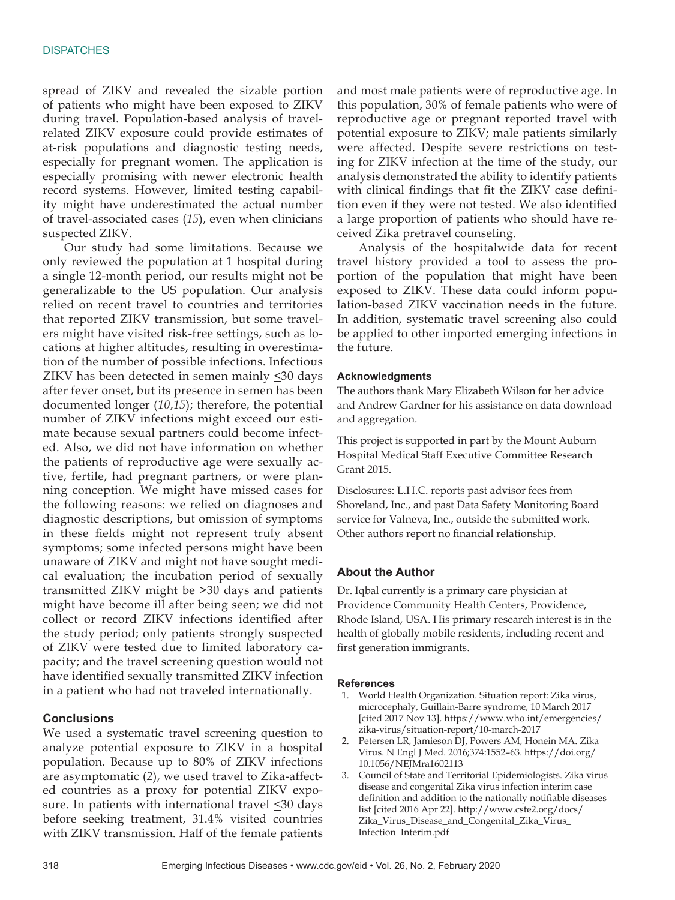spread of ZIKV and revealed the sizable portion of patients who might have been exposed to ZIKV during travel. Population-based analysis of travelrelated ZIKV exposure could provide estimates of at-risk populations and diagnostic testing needs, especially for pregnant women. The application is especially promising with newer electronic health record systems. However, limited testing capability might have underestimated the actual number of travel-associated cases (*15*), even when clinicians suspected ZIKV.

Our study had some limitations. Because we only reviewed the population at 1 hospital during a single 12-month period, our results might not be generalizable to the US population. Our analysis relied on recent travel to countries and territories that reported ZIKV transmission, but some travelers might have visited risk-free settings, such as locations at higher altitudes, resulting in overestimation of the number of possible infections. Infectious ZIKV has been detected in semen mainly  $\leq 30$  days after fever onset, but its presence in semen has been documented longer (*10*,*15*); therefore, the potential number of ZIKV infections might exceed our estimate because sexual partners could become infected. Also, we did not have information on whether the patients of reproductive age were sexually active, fertile, had pregnant partners, or were planning conception. We might have missed cases for the following reasons: we relied on diagnoses and diagnostic descriptions, but omission of symptoms in these fields might not represent truly absent symptoms; some infected persons might have been unaware of ZIKV and might not have sought medical evaluation; the incubation period of sexually transmitted ZIKV might be >30 days and patients might have become ill after being seen; we did not collect or record ZIKV infections identified after the study period; only patients strongly suspected of ZIKV were tested due to limited laboratory capacity; and the travel screening question would not have identified sexually transmitted ZIKV infection in a patient who had not traveled internationally.

#### **Conclusions**

We used a systematic travel screening question to analyze potential exposure to ZIKV in a hospital population. Because up to 80% of ZIKV infections are asymptomatic (*2*), we used travel to Zika-affected countries as a proxy for potential ZIKV exposure. In patients with international travel  $\leq$ 30 days before seeking treatment, 31.4% visited countries with ZIKV transmission. Half of the female patients

and most male patients were of reproductive age. In this population, 30% of female patients who were of reproductive age or pregnant reported travel with potential exposure to ZIKV; male patients similarly were affected. Despite severe restrictions on testing for ZIKV infection at the time of the study, our analysis demonstrated the ability to identify patients with clinical findings that fit the ZIKV case definition even if they were not tested. We also identified a large proportion of patients who should have received Zika pretravel counseling.

Analysis of the hospitalwide data for recent travel history provided a tool to assess the proportion of the population that might have been exposed to ZIKV. These data could inform population-based ZIKV vaccination needs in the future. In addition, systematic travel screening also could be applied to other imported emerging infections in the future.

#### **Acknowledgments**

The authors thank Mary Elizabeth Wilson for her advice and Andrew Gardner for his assistance on data download and aggregation.

This project is supported in part by the Mount Auburn Hospital Medical Staff Executive Committee Research Grant 2015.

Disclosures: L.H.C. reports past advisor fees from Shoreland, Inc., and past Data Safety Monitoring Board service for Valneva, Inc., outside the submitted work. Other authors report no financial relationship.

#### **About the Author**

Dr. Iqbal currently is a primary care physician at Providence Community Health Centers, Providence, Rhode Island, USA. His primary research interest is in the health of globally mobile residents, including recent and first generation immigrants.

#### **References**

- 1. World Health Organization. Situation report: Zika virus, microcephaly, Guillain-Barre syndrome, 10 March 2017 [cited 2017 Nov 13]. https://www.who.int/emergencies/ zika-virus/situation-report/10-march-2017
- 2. Petersen LR, Jamieson DJ, Powers AM, Honein MA. Zika Virus. N Engl J Med. 2016;374:1552–63. https://doi.org/ 10.1056/NEJMra1602113
- 3. Council of State and Territorial Epidemiologists. Zika virus disease and congenital Zika virus infection interim case definition and addition to the nationally notifiable diseases list [cited 2016 Apr 22]. http://www.cste2.org/docs/ Zika\_Virus\_Disease\_and\_Congenital\_Zika\_Virus\_ Infection\_Interim.pdf